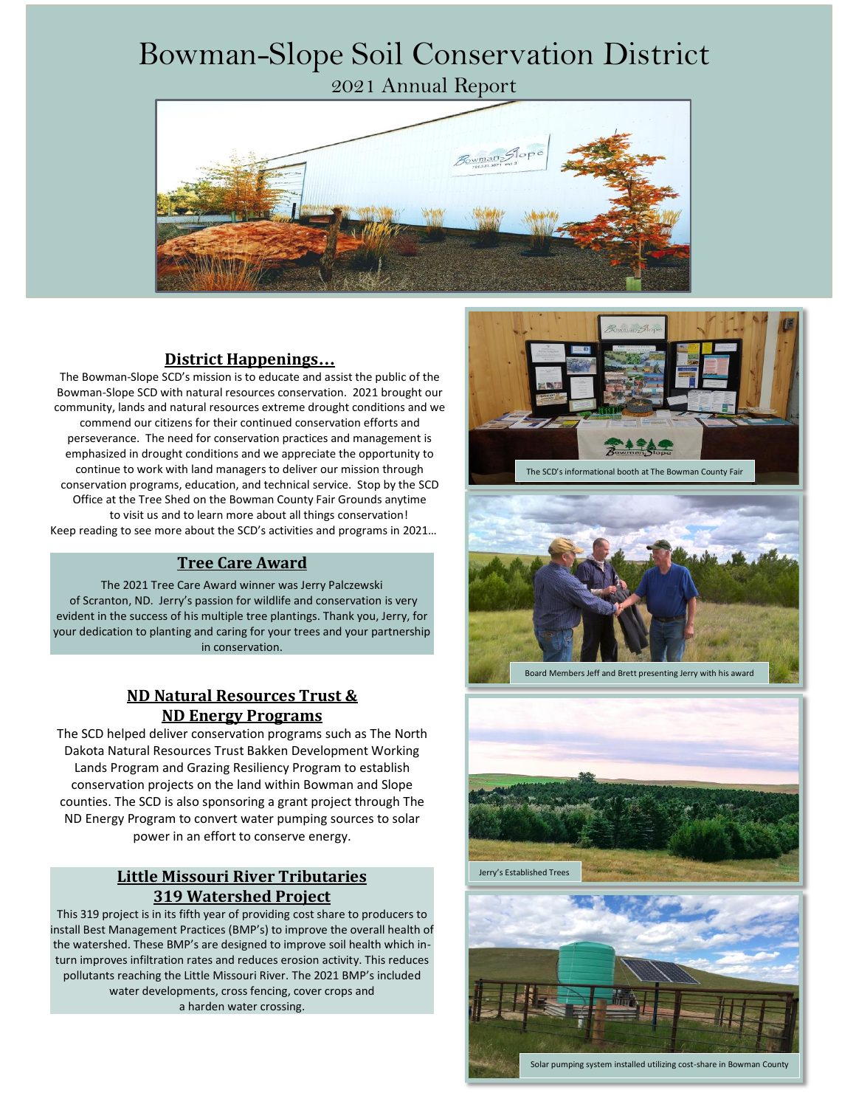# Bowman-Slope Soil Conservation District

2021 Annual Report



### **District Happenings…**

The Bowman-Slope SCD's mission is to educate and assist the public of the Bowman-Slope SCD with natural resources conservation. 2021 brought our community, lands and natural resources extreme drought conditions and we commend our citizens for their continued conservation efforts and perseverance. The need for conservation practices and management is emphasized in drought conditions and we appreciate the opportunity to continue to work with land managers to deliver our mission through conservation programs, education, and technical service. Stop by the SCD Office at the Tree Shed on the Bowman County Fair Grounds anytime to visit us and to learn more about all things conservation! Keep reading to see more about the SCD's activities and programs in 2021…

#### **Tree Care Award**

The 2021 Tree Care Award winner was Jerry Palczewski of Scranton, ND. Jerry's passion for wildlife and conservation is very evident in the success of his multiple tree plantings. Thank you, Jerry, for your dedication to planting and caring for your trees and your partnership in conservation.

#### **ND Natural Resources Trust & ND Energy Programs**

The SCD helped deliver conservation programs such as The North Dakota Natural Resources Trust Bakken Development Working Lands Program and Grazing Resiliency Program to establish conservation projects on the land within Bowman and Slope counties. The SCD is also sponsoring a grant project through The ND Energy Program to convert water pumping sources to solar power in an effort to conserve energy.

#### **Little Missouri River Tributaries 319 Watershed Project**

This 319 project is in its fifth year of providing cost share to producers to install Best Management Practices (BMP's) to improve the overall health of the watershed. These BMP's are designed to improve soil health which inturn improves infiltration rates and reduces erosion activity. This reduces pollutants reaching the Little Missouri River. The 2021 BMP's included water developments, cross fencing, cover crops and a harden water crossing.





Board Members Jeff and Brett presenting Jerry with his award